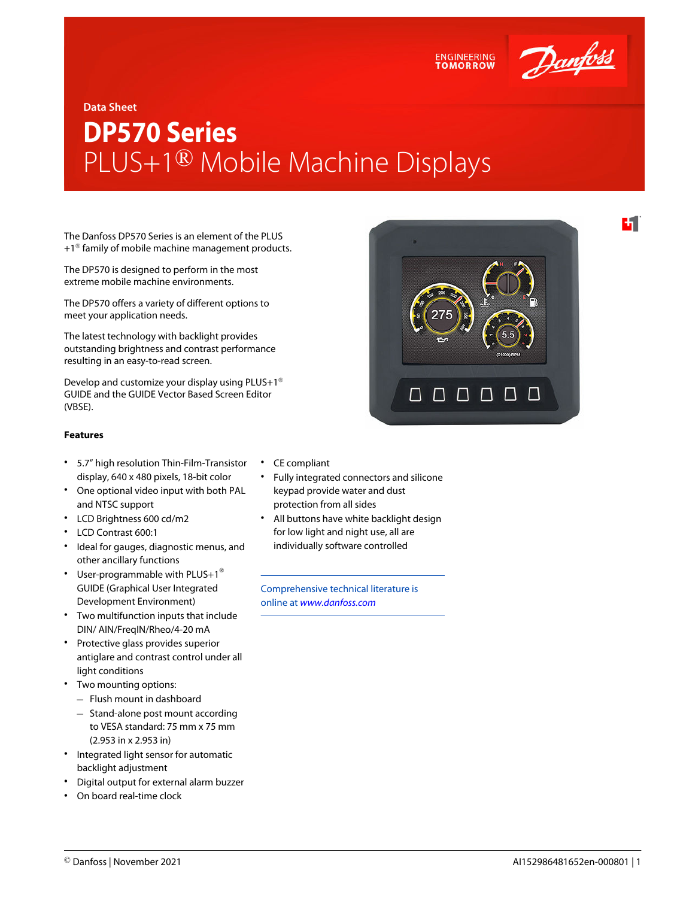

4.

### **Data Sheet**

# **DP570 Series** PLUS+1® Mobile Machine Displays

The Danfoss DP570 Series is an element of the PLUS  $+1<sup>®</sup>$  family of mobile machine management products.

The DP570 is designed to perform in the most extreme mobile machine environments.

The DP570 offers a variety of different options to meet your application needs.

The latest technology with backlight provides outstanding brightness and contrast performance resulting in an easy-to-read screen.

Develop and customize your display using PLUS+1® GUIDE and the GUIDE Vector Based Screen Editor (VBSE).

### **Features**

- 5.7" high resolution Thin-Film-Transistor display, 640 x 480 pixels, 18-bit color
- One optional video input with both PAL and NTSC support
- LCD Brightness 600 cd/m2
- LCD Contrast 600:1
- Ideal for gauges, diagnostic menus, and other ancillary functions
- User-programmable with PLUS+1<sup>®</sup> GUIDE (Graphical User Integrated Development Environment)
- Two multifunction inputs that include DIN/ AIN/FreqIN/Rheo/4-20 mA
- Protective glass provides superior antiglare and contrast control under all light conditions
- Two mounting options:
	- ‒ Flush mount in dashboard
	- ‒ Stand-alone post mount according to VESA standard: 75 mm x 75 mm (2.953 in x 2.953 in)
- Integrated light sensor for automatic backlight adjustment
- Digital output for external alarm buzzer
- On board real-time clock
- CE compliant
- Fully integrated connectors and silicone keypad provide water and dust protection from all sides
- All buttons have white backlight design for low light and night use, all are individually software controlled

Comprehensive technical literature is online at *[www.danfoss.com](https://www.danfoss.com/en/search/?filter=type%3Adocumentation%2Csegment%3Adps)*



**ENGINEERING TOMORROW**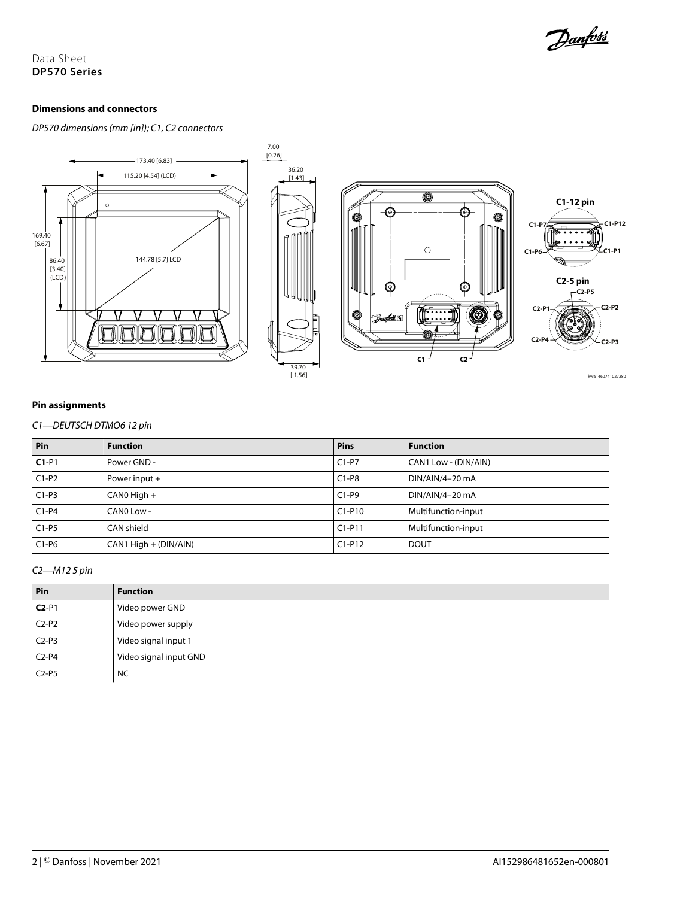

# **Dimensions and connectors**

*DP570 dimensions (mm [in]); C1, C2 connectors*



# **Pin assignments**

*C1—DEUTSCH DTMO6 12 pin*

| Pin     | <b>Function</b>       | <b>Pins</b> | <b>Function</b>      |
|---------|-----------------------|-------------|----------------------|
| $C1-P1$ | Power GND -           | $C1-P7$     | CAN1 Low - (DIN/AIN) |
| $C1-P2$ | Power input +         | $C1-P8$     | DIN/AIN/4-20 mA      |
| $C1-P3$ | $CANO High +$         | $C1-P9$     | DIN/AIN/4-20 mA      |
| $C1-P4$ | CANO Low -            | $C1-P10$    | Multifunction-input  |
| $C1-P5$ | CAN shield            | $C1-P11$    | Multifunction-input  |
| $C1-P6$ | CAN1 High + (DIN/AIN) | $C1-P12$    | <b>DOUT</b>          |

# *C2—M12 5 pin*

| Pin     | <b>Function</b>        |
|---------|------------------------|
| $C2-P1$ | Video power GND        |
| $C2-P2$ | Video power supply     |
| $C2-P3$ | Video signal input 1   |
| $C2-P4$ | Video signal input GND |
| $C2-P5$ | <b>NC</b>              |